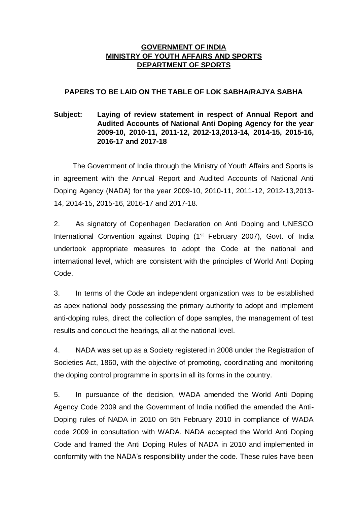#### **GOVERNMENT OF INDIA MINISTRY OF YOUTH AFFAIRS AND SPORTS DEPARTMENT OF SPORTS**

#### **PAPERS TO BE LAID ON THE TABLE OF LOK SABHA/RAJYA SABHA**

## **Subject: Laying of review statement in respect of Annual Report and Audited Accounts of National Anti Doping Agency for the year 2009-10, 2010-11, 2011-12, 2012-13,2013-14, 2014-15, 2015-16, 2016-17 and 2017-18**

 The Government of India through the Ministry of Youth Affairs and Sports is in agreement with the Annual Report and Audited Accounts of National Anti Doping Agency (NADA) for the year 2009-10, 2010-11, 2011-12, 2012-13,2013- 14, 2014-15, 2015-16, 2016-17 and 2017-18.

2. As signatory of Copenhagen Declaration on Anti Doping and UNESCO International Convention against Doping (1<sup>st</sup> February 2007), Govt. of India undertook appropriate measures to adopt the Code at the national and international level, which are consistent with the principles of World Anti Doping Code.

3. In terms of the Code an independent organization was to be established as apex national body possessing the primary authority to adopt and implement anti-doping rules, direct the collection of dope samples, the management of test results and conduct the hearings, all at the national level.

4. NADA was set up as a Society registered in 2008 under the Registration of Societies Act, 1860, with the objective of promoting, coordinating and monitoring the doping control programme in sports in all its forms in the country.

5. In pursuance of the decision, WADA amended the World Anti Doping Agency Code 2009 and the Government of India notified the amended the Anti-Doping rules of NADA in 2010 on 5th February 2010 in compliance of WADA code 2009 in consultation with WADA. NADA accepted the World Anti Doping Code and framed the Anti Doping Rules of NADA in 2010 and implemented in conformity with the NADA's responsibility under the code. These rules have been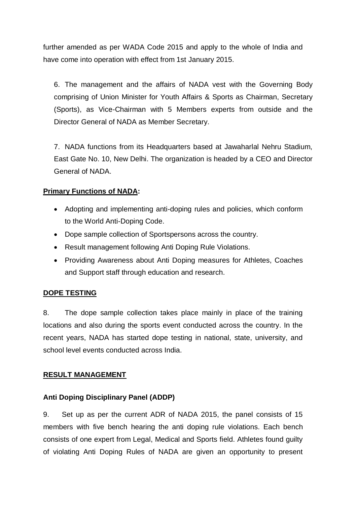further amended as per WADA Code 2015 and apply to the whole of India and have come into operation with effect from 1st January 2015.

6. The management and the affairs of NADA vest with the Governing Body comprising of Union Minister for Youth Affairs & Sports as Chairman, Secretary (Sports), as Vice-Chairman with 5 Members experts from outside and the Director General of NADA as Member Secretary.

7. NADA functions from its Headquarters based at Jawaharlal Nehru Stadium, East Gate No. 10, New Delhi. The organization is headed by a CEO and Director General of NADA.

# **Primary Functions of NADA:**

- Adopting and implementing anti-doping rules and policies, which conform to the World Anti-Doping Code.
- Dope sample collection of Sportspersons across the country.
- Result management following Anti Doping Rule Violations.
- Providing Awareness about Anti Doping measures for Athletes, Coaches and Support staff through education and research.

## **DOPE TESTING**

8. The dope sample collection takes place mainly in place of the training locations and also during the sports event conducted across the country. In the recent years, NADA has started dope testing in national, state, university, and school level events conducted across India.

## **RESULT MANAGEMENT**

## **Anti Doping Disciplinary Panel (ADDP)**

9. Set up as per the current ADR of NADA 2015, the panel consists of 15 members with five bench hearing the anti doping rule violations. Each bench consists of one expert from Legal, Medical and Sports field. Athletes found guilty of violating Anti Doping Rules of NADA are given an opportunity to present